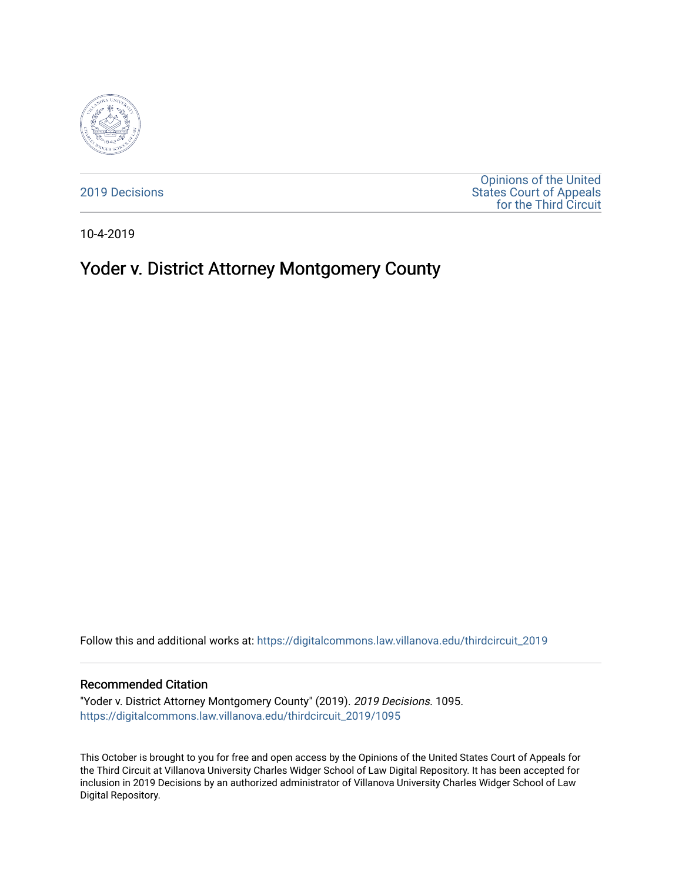

[2019 Decisions](https://digitalcommons.law.villanova.edu/thirdcircuit_2019)

[Opinions of the United](https://digitalcommons.law.villanova.edu/thirdcircuit)  [States Court of Appeals](https://digitalcommons.law.villanova.edu/thirdcircuit)  [for the Third Circuit](https://digitalcommons.law.villanova.edu/thirdcircuit) 

10-4-2019

# Yoder v. District Attorney Montgomery County

Follow this and additional works at: [https://digitalcommons.law.villanova.edu/thirdcircuit\\_2019](https://digitalcommons.law.villanova.edu/thirdcircuit_2019?utm_source=digitalcommons.law.villanova.edu%2Fthirdcircuit_2019%2F1095&utm_medium=PDF&utm_campaign=PDFCoverPages) 

#### Recommended Citation

"Yoder v. District Attorney Montgomery County" (2019). 2019 Decisions. 1095. [https://digitalcommons.law.villanova.edu/thirdcircuit\\_2019/1095](https://digitalcommons.law.villanova.edu/thirdcircuit_2019/1095?utm_source=digitalcommons.law.villanova.edu%2Fthirdcircuit_2019%2F1095&utm_medium=PDF&utm_campaign=PDFCoverPages) 

This October is brought to you for free and open access by the Opinions of the United States Court of Appeals for the Third Circuit at Villanova University Charles Widger School of Law Digital Repository. It has been accepted for inclusion in 2019 Decisions by an authorized administrator of Villanova University Charles Widger School of Law Digital Repository.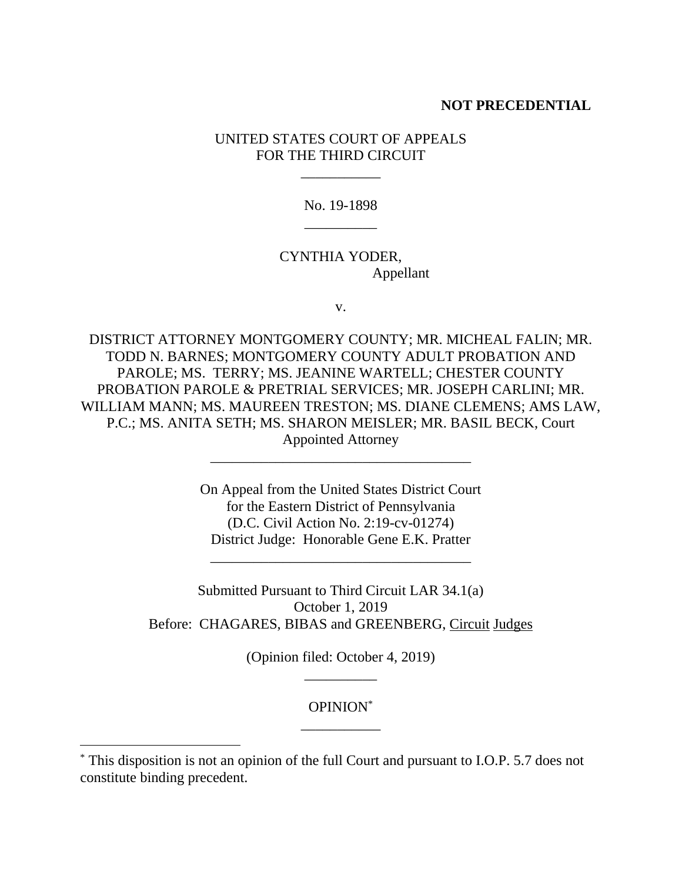#### **NOT PRECEDENTIAL**

## UNITED STATES COURT OF APPEALS FOR THE THIRD CIRCUIT

\_\_\_\_\_\_\_\_\_\_\_

No. 19-1898 \_\_\_\_\_\_\_\_\_\_

## CYNTHIA YODER, Appellant

v.

DISTRICT ATTORNEY MONTGOMERY COUNTY; MR. MICHEAL FALIN; MR. TODD N. BARNES; MONTGOMERY COUNTY ADULT PROBATION AND PAROLE; MS. TERRY; MS. JEANINE WARTELL; CHESTER COUNTY PROBATION PAROLE & PRETRIAL SERVICES; MR. JOSEPH CARLINI; MR. WILLIAM MANN; MS. MAUREEN TRESTON; MS. DIANE CLEMENS; AMS LAW, P.C.; MS. ANITA SETH; MS. SHARON MEISLER; MR. BASIL BECK, Court Appointed Attorney

\_\_\_\_\_\_\_\_\_\_\_\_\_\_\_\_\_\_\_\_\_\_\_\_\_\_\_\_\_\_\_\_\_\_\_\_

On Appeal from the United States District Court for the Eastern District of Pennsylvania (D.C. Civil Action No. 2:19-cv-01274) District Judge: Honorable Gene E.K. Pratter

\_\_\_\_\_\_\_\_\_\_\_\_\_\_\_\_\_\_\_\_\_\_\_\_\_\_\_\_\_\_\_\_\_\_\_\_

Submitted Pursuant to Third Circuit LAR 34.1(a) October 1, 2019 Before: CHAGARES, BIBAS and GREENBERG, Circuit Judges

> (Opinion filed: October 4, 2019) \_\_\_\_\_\_\_\_\_\_

## OPINION\* \_\_\_\_\_\_\_\_\_\_\_

 $\overline{a}$ 

<sup>\*</sup> This disposition is not an opinion of the full Court and pursuant to I.O.P. 5.7 does not constitute binding precedent.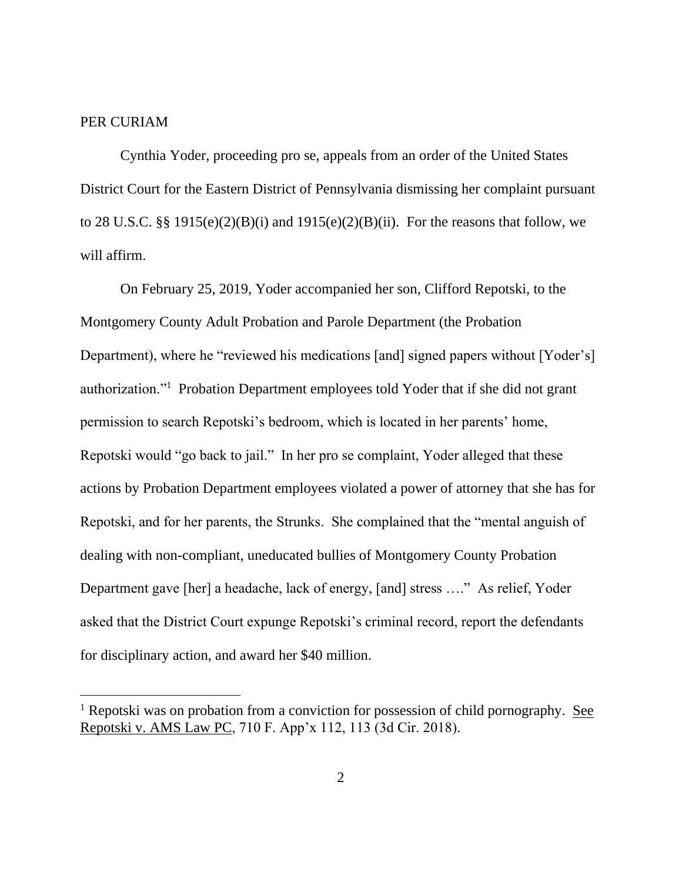### PER CURIAM

Cynthia Yoder, proceeding pro se, appeals from an order of the United States District Court for the Eastern District of Pennsylvania dismissing her complaint pursuant to 28 U.S.C. §§ 1915(e)(2)(B)(i) and 1915(e)(2)(B)(ii). For the reasons that follow, we will affirm.

On February 25, 2019, Yoder accompanied her son, Clifford Repotski, to the Montgomery County Adult Probation and Parole Department (the Probation Department), where he "reviewed his medications [and] signed papers without [Yoder's] authorization."<sup>1</sup> Probation Department employees told Yoder that if she did not grant permission to search Repotski's bedroom, which is located in her parents' home, Repotski would "go back to jail." In her pro se complaint, Yoder alleged that these actions by Probation Department employees violated a power of attorney that she has for Repotski, and for her parents, the Strunks. She complained that the "mental anguish of dealing with non-compliant, uneducated bullies of Montgomery County Probation Department gave [her] a headache, lack of energy, [and] stress …." As relief, Yoder asked that the District Court expunge Repotski's criminal record, report the defendants for disciplinary action, and award her \$40 million.

<sup>&</sup>lt;sup>1</sup> Repotski was on probation from a conviction for possession of child pornography. See Repotski v. AMS Law PC, 710 F. App'x 112, 113 (3d Cir. 2018).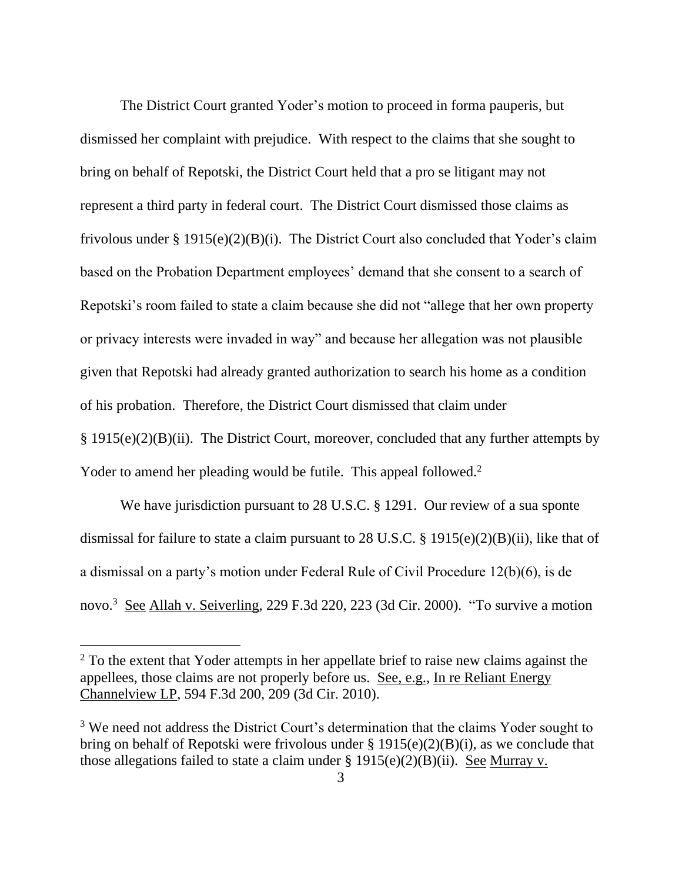The District Court granted Yoder's motion to proceed in forma pauperis, but dismissed her complaint with prejudice. With respect to the claims that she sought to bring on behalf of Repotski, the District Court held that a pro se litigant may not represent a third party in federal court. The District Court dismissed those claims as frivolous under § 1915(e)(2)(B)(i). The District Court also concluded that Yoder's claim based on the Probation Department employees' demand that she consent to a search of Repotski's room failed to state a claim because she did not "allege that her own property or privacy interests were invaded in way" and because her allegation was not plausible given that Repotski had already granted authorization to search his home as a condition of his probation. Therefore, the District Court dismissed that claim under § 1915(e)(2)(B)(ii). The District Court, moreover, concluded that any further attempts by Yoder to amend her pleading would be futile. This appeal followed.<sup>2</sup>

We have jurisdiction pursuant to 28 U.S.C. § 1291. Our review of a sua sponte dismissal for failure to state a claim pursuant to 28 U.S.C. § 1915(e)(2)(B)(ii), like that of a dismissal on a party's motion under Federal Rule of Civil Procedure 12(b)(6), is de novo.<sup>3</sup> See Allah v. Seiverling, 229 F.3d 220, 223 (3d Cir. 2000). "To survive a motion

 $\overline{a}$ 

<sup>&</sup>lt;sup>2</sup> To the extent that Yoder attempts in her appellate brief to raise new claims against the appellees, those claims are not properly before us. See, e.g., In re Reliant Energy Channelview LP, 594 F.3d 200, 209 (3d Cir. 2010).

<sup>&</sup>lt;sup>3</sup> We need not address the District Court's determination that the claims Yoder sought to bring on behalf of Repotski were frivolous under § 1915(e)(2)(B)(i), as we conclude that those allegations failed to state a claim under  $\S 1915(e)(2)(B)(ii)$ . See Murray v.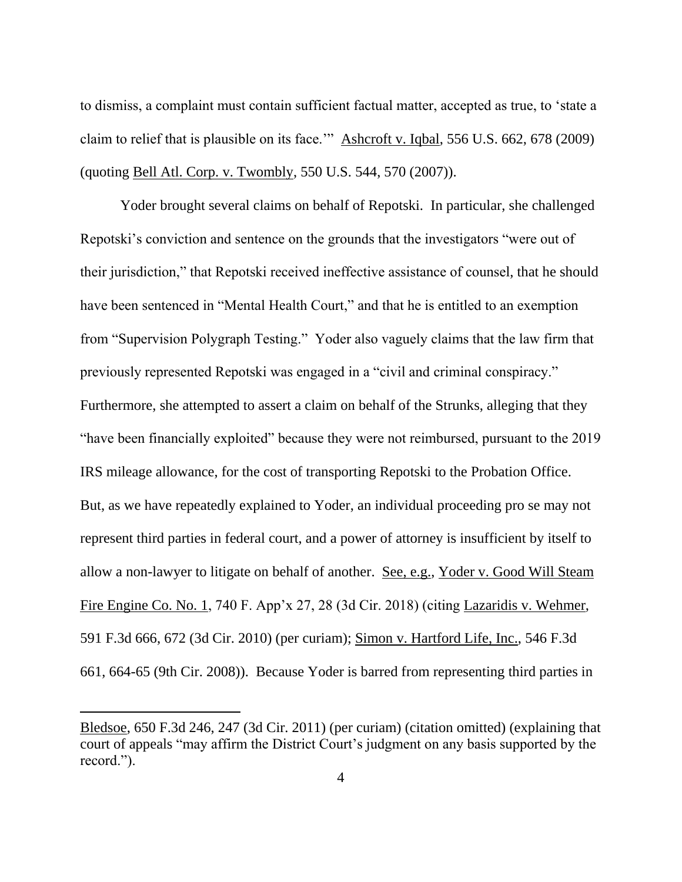to dismiss, a complaint must contain sufficient factual matter, accepted as true, to 'state a claim to relief that is plausible on its face.'" Ashcroft v. Iqbal, 556 U.S. 662, 678 (2009) (quoting Bell Atl. Corp. v. Twombly, 550 U.S. 544, 570 (2007)).

Yoder brought several claims on behalf of Repotski. In particular, she challenged Repotski's conviction and sentence on the grounds that the investigators "were out of their jurisdiction," that Repotski received ineffective assistance of counsel, that he should have been sentenced in "Mental Health Court," and that he is entitled to an exemption from "Supervision Polygraph Testing." Yoder also vaguely claims that the law firm that previously represented Repotski was engaged in a "civil and criminal conspiracy." Furthermore, she attempted to assert a claim on behalf of the Strunks, alleging that they "have been financially exploited" because they were not reimbursed, pursuant to the 2019 IRS mileage allowance, for the cost of transporting Repotski to the Probation Office. But, as we have repeatedly explained to Yoder, an individual proceeding pro se may not represent third parties in federal court, and a power of attorney is insufficient by itself to allow a non-lawyer to litigate on behalf of another. See, e.g., Yoder v. Good Will Steam Fire Engine Co. No. 1, 740 F. App'x 27, 28 (3d Cir. 2018) (citing Lazaridis v. Wehmer, 591 F.3d 666, 672 (3d Cir. 2010) (per curiam); Simon v. Hartford Life, Inc., 546 F.3d 661, 664-65 (9th Cir. 2008)). Because Yoder is barred from representing third parties in

Bledsoe, 650 F.3d 246, 247 (3d Cir. 2011) (per curiam) (citation omitted) (explaining that court of appeals "may affirm the District Court's judgment on any basis supported by the record.").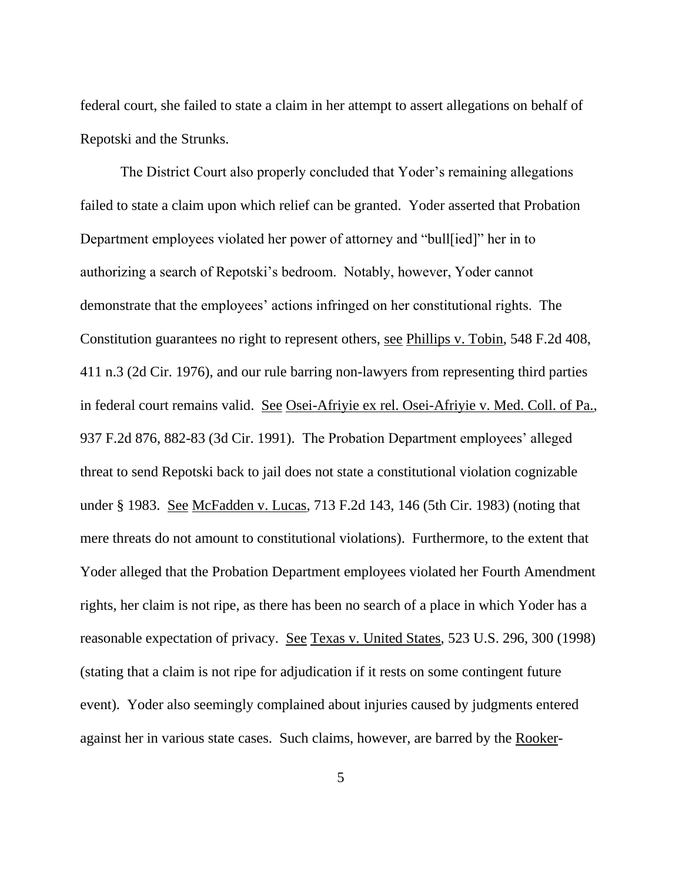federal court, she failed to state a claim in her attempt to assert allegations on behalf of Repotski and the Strunks.

The District Court also properly concluded that Yoder's remaining allegations failed to state a claim upon which relief can be granted. Yoder asserted that Probation Department employees violated her power of attorney and "bull[ied]" her in to authorizing a search of Repotski's bedroom. Notably, however, Yoder cannot demonstrate that the employees' actions infringed on her constitutional rights. The Constitution guarantees no right to represent others, see Phillips v. Tobin, 548 F.2d 408, 411 n.3 (2d Cir. 1976), and our rule barring non-lawyers from representing third parties in federal court remains valid. See Osei-Afriyie ex rel. Osei-Afriyie v. Med. Coll. of Pa., 937 F.2d 876, 882-83 (3d Cir. 1991). The Probation Department employees' alleged threat to send Repotski back to jail does not state a constitutional violation cognizable under § 1983. See McFadden v. Lucas, 713 F.2d 143, 146 (5th Cir. 1983) (noting that mere threats do not amount to constitutional violations). Furthermore, to the extent that Yoder alleged that the Probation Department employees violated her Fourth Amendment rights, her claim is not ripe, as there has been no search of a place in which Yoder has a reasonable expectation of privacy. See Texas v. United States, 523 U.S. 296, 300 (1998) (stating that a claim is not ripe for adjudication if it rests on some contingent future event). Yoder also seemingly complained about injuries caused by judgments entered against her in various state cases. Such claims, however, are barred by the Rooker